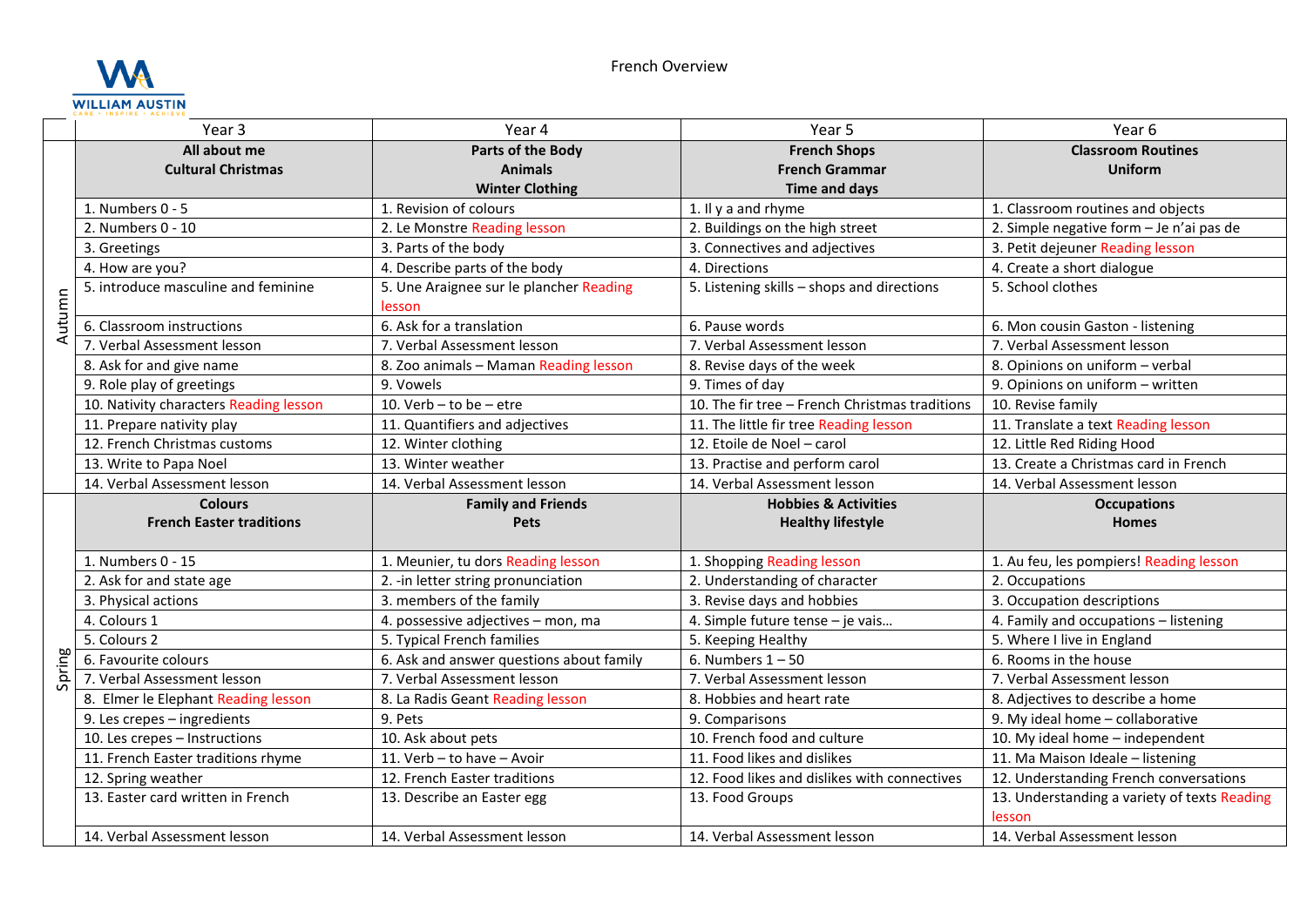

|        | Year 3                                 | Year 4                                            | Year 5                                         | Year <sub>6</sub>                            |
|--------|----------------------------------------|---------------------------------------------------|------------------------------------------------|----------------------------------------------|
|        | All about me                           | Parts of the Body                                 | <b>French Shops</b>                            | <b>Classroom Routines</b>                    |
| Autumn | <b>Cultural Christmas</b>              | <b>Animals</b>                                    | <b>French Grammar</b>                          | <b>Uniform</b>                               |
|        |                                        | <b>Winter Clothing</b>                            | Time and days                                  |                                              |
|        | 1. Numbers 0 - 5                       | 1. Revision of colours                            | 1. Il y a and rhyme                            | 1. Classroom routines and objects            |
|        | 2. Numbers 0 - 10                      | 2. Le Monstre Reading lesson                      | 2. Buildings on the high street                | 2. Simple negative form - Je n'ai pas de     |
|        | 3. Greetings                           | 3. Parts of the body                              | 3. Connectives and adjectives                  | 3. Petit dejeuner Reading lesson             |
|        | 4. How are you?                        | 4. Describe parts of the body                     | 4. Directions                                  | 4. Create a short dialogue                   |
|        | 5. introduce masculine and feminine    | 5. Une Araignee sur le plancher Reading<br>lesson | 5. Listening skills - shops and directions     | 5. School clothes                            |
|        | 6. Classroom instructions              | 6. Ask for a translation                          | 6. Pause words                                 | 6. Mon cousin Gaston - listening             |
|        | 7. Verbal Assessment lesson            | 7. Verbal Assessment lesson                       | 7. Verbal Assessment lesson                    | 7. Verbal Assessment lesson                  |
|        | 8. Ask for and give name               | 8. Zoo animals - Maman Reading lesson             | 8. Revise days of the week                     | 8. Opinions on uniform - verbal              |
|        | 9. Role play of greetings              | 9. Vowels                                         | 9. Times of day                                | 9. Opinions on uniform - written             |
|        | 10. Nativity characters Reading lesson | 10. Verb $-$ to be $-$ etre                       | 10. The fir tree - French Christmas traditions | 10. Revise family                            |
|        | 11. Prepare nativity play              | 11. Quantifiers and adjectives                    | 11. The little fir tree Reading lesson         | 11. Translate a text Reading lesson          |
|        | 12. French Christmas customs           | 12. Winter clothing                               | 12. Etoile de Noel - carol                     | 12. Little Red Riding Hood                   |
|        | 13. Write to Papa Noel                 | 13. Winter weather                                | 13. Practise and perform carol                 | 13. Create a Christmas card in French        |
|        | 14. Verbal Assessment lesson           | 14. Verbal Assessment lesson                      | 14. Verbal Assessment lesson                   | 14. Verbal Assessment lesson                 |
|        | <b>Colours</b>                         | <b>Family and Friends</b>                         | <b>Hobbies &amp; Activities</b>                | <b>Occupations</b>                           |
|        | <b>French Easter traditions</b>        | <b>Pets</b>                                       | <b>Healthy lifestyle</b>                       | <b>Homes</b>                                 |
|        | 1. Numbers 0 - 15                      | 1. Meunier, tu dors Reading lesson                | 1. Shopping Reading lesson                     | 1. Au feu, les pompiers! Reading lesson      |
|        | 2. Ask for and state age               | 2. - in letter string pronunciation               | 2. Understanding of character                  | 2. Occupations                               |
| Spring | 3. Physical actions                    | 3. members of the family                          | 3. Revise days and hobbies                     | 3. Occupation descriptions                   |
|        | 4. Colours 1                           | 4. possessive adjectives - mon, ma                | 4. Simple future tense - je vais               | 4. Family and occupations - listening        |
|        | 5. Colours 2                           | 5. Typical French families                        | 5. Keeping Healthy                             | 5. Where I live in England                   |
|        | 6. Favourite colours                   | 6. Ask and answer questions about family          | 6. Numbers $1 - 50$                            | 6. Rooms in the house                        |
|        | 7. Verbal Assessment lesson            | 7. Verbal Assessment lesson                       | 7. Verbal Assessment lesson                    | 7. Verbal Assessment lesson                  |
|        | 8. Elmer le Elephant Reading lesson    | 8. La Radis Geant Reading lesson                  | 8. Hobbies and heart rate                      | 8. Adjectives to describe a home             |
|        | 9. Les crepes - ingredients            | 9. Pets                                           | 9. Comparisons                                 | 9. My ideal home - collaborative             |
|        | 10. Les crepes - Instructions          | 10. Ask about pets                                | 10. French food and culture                    | 10. My ideal home - independent              |
|        | 11. French Easter traditions rhyme     | 11. Verb - to have - Avoir                        | 11. Food likes and dislikes                    | 11. Ma Maison Ideale - listening             |
|        | 12. Spring weather                     | 12. French Easter traditions                      | 12. Food likes and dislikes with connectives   | 12. Understanding French conversations       |
|        | 13. Easter card written in French      | 13. Describe an Easter egg                        | 13. Food Groups                                | 13. Understanding a variety of texts Reading |
|        |                                        |                                                   |                                                | lesson                                       |
|        | 14. Verbal Assessment lesson           | 14. Verbal Assessment lesson                      | 14. Verbal Assessment lesson                   | 14. Verbal Assessment lesson                 |